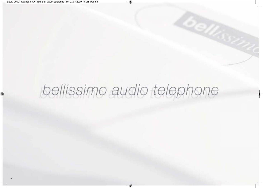# bellissimo audio telephone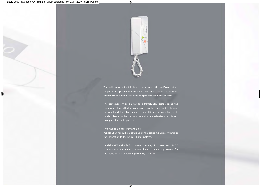

The **bell***issimo* audio telephone complements the **bell***issimo* video range. It incorporates the extra functions and features of the video system which is often requested by specifiers for audio systems.

The contemporary design has an extremely slim profile giving the telephone a flush-effect when mounted on the wall. The telephone is manufactured from high impact white ABS plastic with two 'softtouch' silicone rubber push-buttons that are selectively backlit and clearly marked with symbols.

## Two models are currently available;

**model BS-A** for audio extensions on the bellissimo video systems or for connection to the bellcall digital systems.

**model BS-LX** available for connection to any of our standard 12v DC door entry systems and can be considered as a direct replacement for the model 500LX telephone previously supplied.

**7**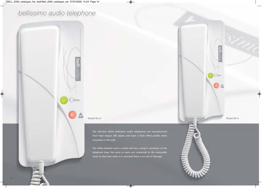# bellissimo audio telephone



**8**

Model BS-LX Model BS-A

The slim-line white bellissimo audio telephones are manufactured from high impact ABS plastic and have a flush effect profile when mounted on the wall.

**bell** 

 $0a$ 

The white handset cord is coiled and has a plug-in connector at the telephone base. No wires or parts are connected to the removable cover so that that when it is removed there is no risk of damage.